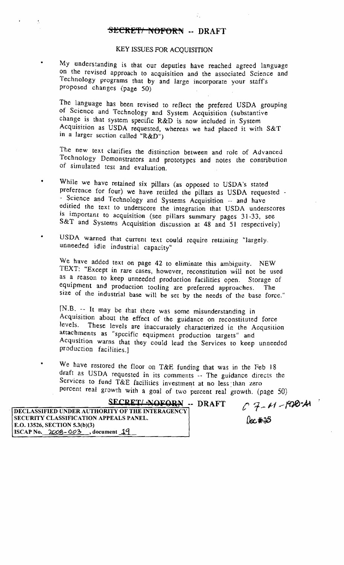## KEY ISSUES FOR ACQUISITION

My understanding is that our deputies have reached agreed language on the revised approach to acquisition and the associated Science and Technology programs that by and large incorporate your staff's proposed changes (page 50)

The language has been revised to reflect the prefered USDA grouping of Science and Technology and System Acquisition (substantive change is that system specific R&D is now included in System Acquisition as USDA requested, whereas we had placed it with S&T in a larger section called "R&D")

The new text clarifies the distinction between and role of Advanced Technology Demonstrators and prorotypes and notes the contribution of simulated test and evaluation.

- While we have retained six pillars (as opposed to USDA's stated preference for four) we have retitled the pillars as USDA requested . - Science and Technology and Systems Acquisition -- and have edified the text to underscore the integration that USDA underscores is important to acquisition (see pillars summary pages 31-33, see S&T and Systems Acquisition discussion at 48 and 51 respectively)
- USDA warned that current text could require retaining "largely-, unneeded idle industrial capacity"

We have added text on page 42 to eliminate this ambiguity. NEW TEXT: "Except in rare cases, however, reconstitution will not be used as a reason to keep unneeded production facilities open. Storage of equipment and production tooling are preferred approaches. The size of the industrial base will be set by the needs of the base force."

[N.B. -- It may be that there was some misunderstanding in Acquisition about the effect of the guidance on reconstituted force levels. These levels are inaccurately characterized in the Acqusition attachments as "specific equipment production targets" and Acqusition warns that they could lead the Services to keep unneeded production facilities.]

We have restored the floor on T&E funding that was in the Feb 18 draft as USDA requested in its comments -- The guidance directs the Services to fund T&E facilities investment at no less than zero percent real growth with a goal of two percent real growth. (page 50)

| SECRET/ NOFORN -- DRAFT                                | $C7 - 11 - 1900 - 11$ |
|--------------------------------------------------------|-----------------------|
| <b>DECLASSIFIED UNDER AUTHORITY OF THE INTERAGENCY</b> |                       |
| <b>SECURITY CLASSIFICATION APPEALS PANEL.</b>          | $0x*35$               |
| E.O. 13526, SECTION 5.3(b)(3)                          |                       |
| ISCAP No. $2008 - 003$ , document 19                   |                       |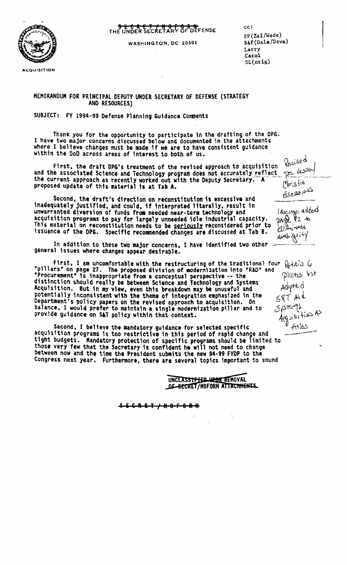

**ACQUISITION** 

**SECRET/NOFORM**<br>THE UNDER SECRETARY OF DEFENSE

WASHINGTON. DC 20301

cc: pp (Zal/Wade)<br>R&P (Dale/Dave) Larry Carol  $SL($ orig $)$ 

## MEMORANDUM FOR PRINCIPAL DEPUTY UNDER SECRETARY OF DEFENSE (STRATEGY AND RESOURCES)

SUBJECT: FY 1994-99 Defense Planning Guidance Comments

ThanK you for the opportunity to participate in the drafting of the OPG. I have two major concerns discussed below and documented in the attachments where I believe changes must be made if we are to have consistent guidance within the DoD across areas of interest to both of us.

First, the draft DPG's treatment of the revised approach to acquisition and the associated Science and Technology program does not accurately reflect and the associated Science and Technology program does not accurately reflect proposed update of this material is at Tab A. The Deputy Secretary. A proposed update of this material is at Tab A.  $\frac{1}{100}$  $A$   $N!$   $s$ ti $\epsilon$ 

Second. the draft's direction on reconstitution is excessive and inadequately justified, and could, if interpreted literally, result in unwarranted diversion of funds from needed near-term technology and<br>acquisition programs to pay for largely unneeded idle industrial capacity. This material on reconstitution needs to be seriously reconsidered prior to issuance of the DPS. Specific recommended changes are discussed at Tab B.

In addition to these two major concerns. I have identified two other general issues where changes appear desirable.

First. I am uncomfortable with the restructuring of the traditional four  $\mathcal{L}$ +A $\sim$  6  $^*$ pillars<sup>\*</sup> on page 27. The proposed division of modernization into "RAD<sup>\*</sup> and  $\sim$ "Procurement" is inappropriate from a conceptual perspective -- the pillins bit distinction should really be between Science and Technology and Systems Acquisition. But in my view, even this breakdown may be unuseful and potentially inconsistent with the theme of integration emphasized in the Department's policy papers on the revised approach to acquisition. On balance, I would prefer to maintain a single modernization pillar and to  $5/5$ t $\leq$ Arguisities As balance, I would prefer to maintain a single modernization pillar and to  $5/5$ <br>provide guidance on S&T policy within that context.

Second. I believe the mandatory guidance for selected specific<br>acquisition programs is too restrictive in this period of rapid change and tight budgets. Mandatory protection of specific programs should be limited to those very few that the Secretary is confident he will not need to change between now and the time the President submits the new 94-99 FYDP to the Congress next year. Furthermore, there are several topics fmportant to sound

UNCLASSTE FED UPON REMOVAL<br>OF SECRET/NOFORN ATTACHMENTS.

s , , R ( TIN 8 F 9 R N

~j,d  $1$ *A*guage  $A$ ucou  $2.40$  kz to  $\forall t$ AMb .92 it's

 $V_{\rm ext}$ se $\bullet$ 

 $d$ (sesse)( $\alpha$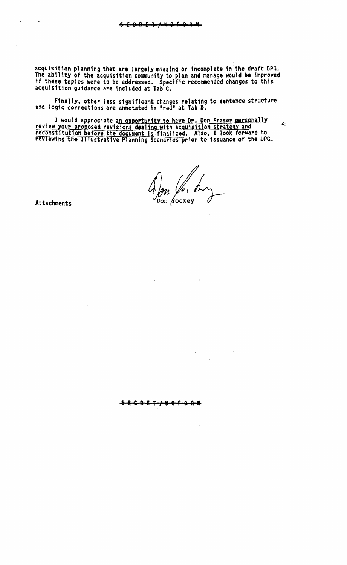acquisition planning that are largely missing or incomplete in the draft DPG.<br>The ability of the acquisition community to plan and manage would be improved If these topics were to be addressed. Specific recommended changes to this acquisition guidance are included at Tab C.

Finally, other less significant changes relating to sentence structure and logic corrections are annotated in 'red' at Tab D.

I would appreciate an opportunity to have Dr. Don Fraser personally review your proposed revisions dealing with acquisition strategy and reconstitution before the document is finalized. Also, I look forward to reviewing the Illustrative Planning Scenarios prior to issuance of the DPG.

Son Aockey

Ł.

Attachments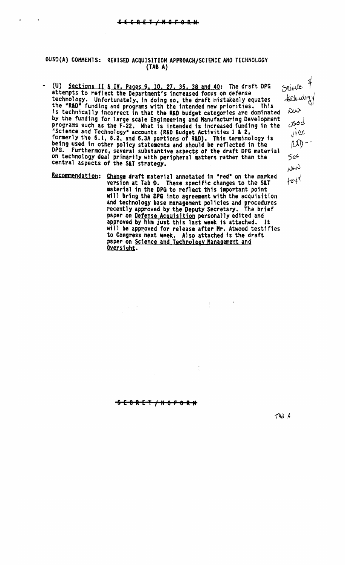# OUSD(A) COMMENTS: REVISED ACQUISITION APPROACH/SCIENCE AND TECHNOLOGY  $(TAB A)$

- (U) Sections II & IV. Pages 9. 10. 27. 35, 38 and 40: The draft DPG attempts to reflect the Department's increased focus on defense technology. Unfortunately, in doing so, the draft mistakenly equates the "R&D" funding and programs with the intended new priorities. This is technically incorrect in that the R&D budget categories are dominated by the funding for large scale Engineering and Manufacturing Development programs such as the F-22. What is intended is increased funding in the "Science and Technology" accounts (R&D Budget Activities 1 & 2, formerly the 6.1, 6.2, and 6.3A portions of R&D). This terminology is being used in other policy statements and should be reflected in the DPG. Furthermore, several substantive aspects of the draft DPG material on technology deal primarily with peripheral matters rather than the central aspects of the SAT strategy.
	- Recommendation: Change draft material annotated in "red" on the marked version at Tab D. These specific changes to the S&T material in the DPG to reflect this important point will bring the DPG into agreement with the acquisition and technology base management policies and procedures recently approved by the Deputy Secretary. The brief paper on Defense Acquisition personally edited and approved by him just this last week is attached. It will be approved for release after Mr. Atwood testifies to Congress next week. Also attached is the draft paper on Science and Technology Management and Oversight.

<del>SECRET/NO</del>1

 $\mathcal{A}^{\pm}$ 

 $TAB$   $A$ 

Science \$

technology

Sed

 $56<sup>6</sup>$ 

ww

 $4e^{4}$ 

vice<br>ice<br>(U)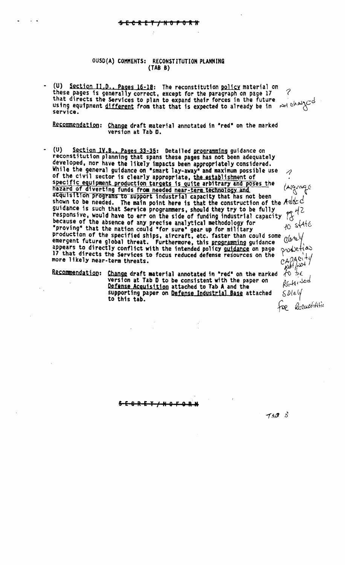### OUSO{A) COMMENTS: RECONSTITUTION PLANNING (TAB 8)

(U) Section Il.D., Pages 16-18: The reconstitution policy material on these pages is generally correct, except for the paragraph on page 17 that directs the Services to plan to expand their forces in the future that directs the Services to plan to expand their forces in the future  $\frac{1}{2}$   $\frac{1}{2}$ using equipment <u>different</u> from that that is expected to already be in  $\sim$  <sup>exac</sup>t

Recommendation: Change draft material annotated in "red" on the marked version at Tab O.

- (U) Section IV,B., Pages 33-35: Detailed programming guidance on reconstitution planning that spans these pages has not been adequately developed, nor have the likely impacts been appropriately considered. While the general guidance on "smart lay-away" and maximum possible use  $\qquad\gamma$ of the civil sector is clearly appropriate, the establishment of specific equipment production targets is quite arbitrary and poses the <br>hazard of diverting funds from needed near-term technology and (Alguna (Alguna) hazard of diverting funds from needed near-term technology and acquisition programs to support industrial capacity that has not been shown to be needed. The main point here is that the construction of the Addcd<br>guidance is such that Service programmers, should they try to be fully<br>responsive, would have to err on the side of funding industrial cancely guidance is such that Service programmers, should they try to be fully responsive, would have to err on the side of funding industrial capacity because of the absence of any precise analytical methodology for  $\frac{10}{40}$  s(4 $\frac{16}{5}$ "proving" that the nation could "for sure" gear up for military production of the specified ships, aircraft, etc. faster than could some emergent future global threat. Furthermore, this programming guidance  $\frac{(100 \text{ V})}{2}$  appears to directly conflict with the intended policy guidance on page  $\frac{1}{2}$ appears to directly conflict with the intended policy guidance on page 17 that directs the Services to focus reduced defense resources on the  $\left\{ \begin{array}{c} 1 & 0 & 0 \\ 0 & 0 & 1 \end{array} \right\}$ 

Recommendation: Change draft material annotated in "red" on the marked  $\begin{pmatrix} 1 & 0 \\ 0 & -1 \end{pmatrix} \in$ version at Tab  $D$  to be consistent with the paper on Defense Acquisition attached to Tab A and the supporting paper on <u>Defense Industrial Base</u> attached<br>to this tab. particle<br>Solety<br>Foe *Reconstitution* 

S E 8 RET I N 8 F Q **R N**